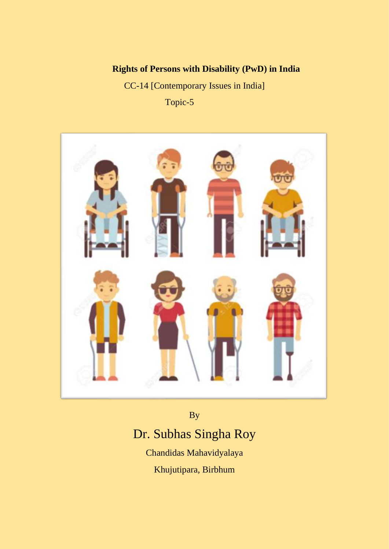# **Rights of Persons with Disability (PwD) in India**

CC-14 [Contemporary Issues in India] Topic-5



# By Dr. Subhas Singha Roy

Chandidas Mahavidyalaya Khujutipara, Birbhum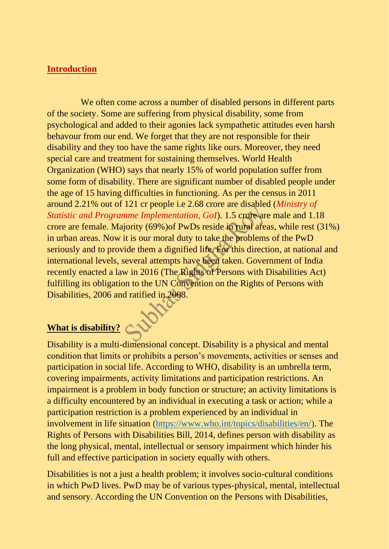#### **Introduction**

We often come across a number of disabled persons in different parts of the society. Some are suffering from physical disability, some from psychological and added to their agonies lack sympathetic attitudes even harsh behavour from our end. We forget that they are not responsible for their disability and they too have the same rights like ours. Moreover, they need special care and treatment for sustaining themselves. World Health Organization (WHO) says that nearly 15% of world population suffer from some form of disability. There are significant number of disabled people under the age of 15 having difficulties in functioning. As per the census in 2011 around 2.21% out of 121 cr people i.e 2.68 crore are disabled (*Ministry of Statistic and Programme Implementation, GoI*). 1.5 crore are male and 1.18 crore are female. Majority (69%)of PwDs reside in rural areas, while rest (31%) in urban areas. Now it is our moral duty to take the problems of the PwD seriously and to provide them a dignified life. For this direction, at national and international levels, several attempts have been taken. Government of India recently enacted a law in 2016 (The Rights of Persons with Disabilities Act) fulfilling its obligation to the UN Convention on the Rights of Persons with Disabilities, 2006 and ratified in 2008.

**What is disability?** Disability is a multi-dimensional concept. Disability is a physical and mental condition that limits or prohibits a person's movements, activities or senses and participation in social life. According to WHO, disability is an umbrella term, covering impairments, activity limitations and participation restrictions. An impairment is a problem in body function or structure; an activity limitations is a difficulty encountered by an individual in executing a task or action; while a participation restriction is a problem experienced by an individual in involvement in life situation [\(https://www.who.int/topics/disabilities/en/\)](https://www.who.int/topics/disabilities/en/). The Rights of Persons with Disabilities Bill, 2014, defines person with disability as the long physical, mental, intellectual or sensory impairment which hinder his full and effective participation in society equally with others.

Disabilities is not a just a health problem; it involves socio-cultural conditions in which PwD lives. PwD may be of various types-physical, mental, intellectual and sensory. According the UN Convention on the Persons with Disabilities,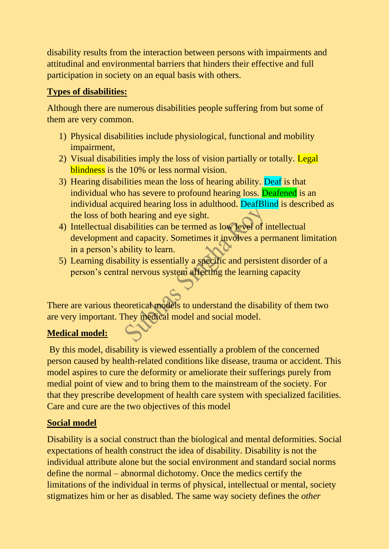disability results from the interaction between persons with impairments and attitudinal and environmental barriers that hinders their effective and full participation in society on an equal basis with others.

### **Types of disabilities:**

Although there are numerous disabilities people suffering from but some of them are very common.

- 1) Physical disabilities include physiological, functional and mobility impairment,
- 2) Visual disabilities imply the loss of vision partially or totally. Legal blindness is the 10% or less normal vision.
- 3) Hearing disabilities mean the loss of hearing ability. Deaf is that individual who has severe to profound hearing loss. Deafened is an individual acquired hearing loss in adulthood. DeafBlind is described as the loss of both hearing and eye sight.
- 4) Intellectual disabilities can be termed as low level of intellectual development and capacity. Sometimes it involves a permanent limitation in a person's ability to learn.
- 5) Learning disability is essentially a specific and persistent disorder of a person's central nervous system affecting the learning capacity

There are various theoretical models to understand the disability of them two are very important. They medical model and social model.

## **Medical model:**

By this model, disability is viewed essentially a problem of the concerned person caused by health-related conditions like disease, trauma or accident. This model aspires to cure the deformity or ameliorate their sufferings purely from medial point of view and to bring them to the mainstream of the society. For that they prescribe development of health care system with specialized facilities. Care and cure are the two objectives of this model

#### **Social model**

Disability is a social construct than the biological and mental deformities. Social expectations of health construct the idea of disability. Disability is not the individual attribute alone but the social environment and standard social norms define the normal – abnormal dichotomy. Once the medics certify the limitations of the individual in terms of physical, intellectual or mental, society stigmatizes him or her as disabled. The same way society defines the *other*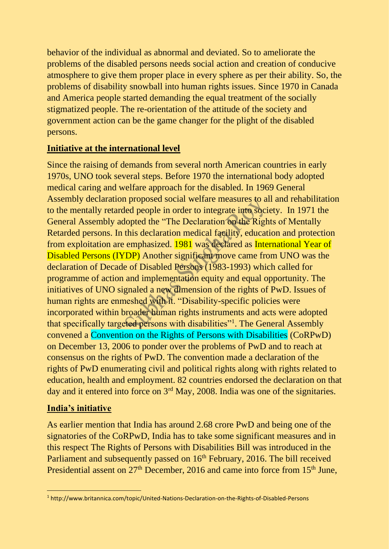behavior of the individual as abnormal and deviated. So to ameliorate the problems of the disabled persons needs social action and creation of conducive atmosphere to give them proper place in every sphere as per their ability. So, the problems of disability snowball into human rights issues. Since 1970 in Canada and America people started demanding the equal treatment of the socially stigmatized people. The re-orientation of the attitude of the society and government action can be the game changer for the plight of the disabled persons.

#### **Initiative at the international level**

Since the raising of demands from several north American countries in early 1970s, UNO took several steps. Before 1970 the international body adopted medical caring and welfare approach for the disabled. In 1969 General Assembly declaration proposed social welfare measures to all and rehabilitation to the mentally retarded people in order to integrate into society. In 1971 the General Assembly adopted the "The Declaration on the Rights of Mentally Retarded persons. In this declaration medical facility, education and protection from exploitation are emphasized. 1981 was declared as International Year of Disabled Persons (IYDP) Another significant move came from UNO was the declaration of Decade of Disabled Persons (1983-1993) which called for programme of action and implementation equity and equal opportunity. The initiatives of UNO signaled a new dimension of the rights of PwD. Issues of human rights are enmeshed with it. "Disability-specific policies were incorporated within broader human rights instruments and acts were adopted that specifically targeted persons with disabilities"<sup>1</sup>. The General Assembly convened a Convention on the Rights of Persons with Disabilities (CoRPwD) on December 13, 2006 to ponder over the problems of PwD and to reach at consensus on the rights of PwD. The convention made a declaration of the rights of PwD enumerating civil and political rights along with rights related to education, health and employment. 82 countries endorsed the declaration on that day and it entered into force on 3<sup>rd</sup> May, 2008. India was one of the signitaries.

#### **India's initiative**

As earlier mention that India has around 2.68 crore PwD and being one of the signatories of the CoRPwD, India has to take some significant measures and in this respect The Rights of Persons with Disabilities Bill was introduced in the Parliament and subsequently passed on 16<sup>th</sup> February, 2016. The bill received Presidential assent on 27<sup>th</sup> December, 2016 and came into force from 15<sup>th</sup> June,

<sup>1</sup> http://www.britannica.com/topic/United-Nations-Declaration-on-the-Rights-of-Disabled-Persons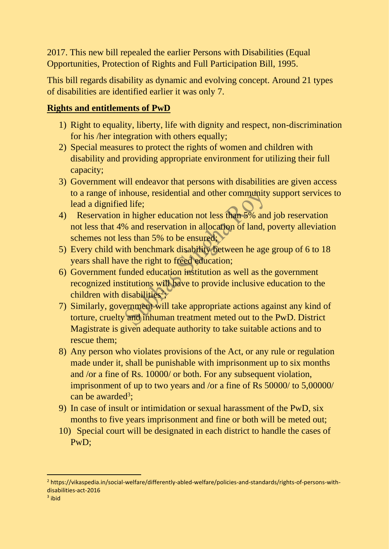2017. This new bill repealed the earlier Persons with Disabilities (Equal Opportunities, Protection of Rights and Full Participation Bill, 1995.

This bill regards disability as dynamic and evolving concept. Around 21 types of disabilities are identified earlier it was only 7.

#### **Rights and entitlements of PwD**

- 1) Right to equality, liberty, life with dignity and respect, non-discrimination for his /her integration with others equally;
- 2) Special measures to protect the rights of women and children with disability and providing appropriate environment for utilizing their full capacity;
- 3) Government will endeavor that persons with disabilities are given access to a range of inhouse, residential and other community support services to lead a dignified life;
- 4) Reservation in higher education not less than 5% and job reservation not less that 4% and reservation in allocation of land, poverty alleviation schemes not less than 5% to be ensured;
- 5) Every child with benchmark disability between he age group of 6 to 18 years shall have the right to freed education;
- 6) Government funded education institution as well as the government recognized institutions will have to provide inclusive education to the children with disabilities<sup>2</sup>;
- 7) Similarly, government will take appropriate actions against any kind of torture, cruelty and inhuman treatment meted out to the PwD. District Magistrate is given adequate authority to take suitable actions and to rescue them;
- 8) Any person who violates provisions of the Act, or any rule or regulation made under it, shall be punishable with imprisonment up to six months and /or a fine of Rs. 10000/ or both. For any subsequent violation, imprisonment of up to two years and /or a fine of Rs 50000/ to 5,00000/ can be awarded<sup>3</sup>;
- 9) In case of insult or intimidation or sexual harassment of the PwD, six months to five years imprisonment and fine or both will be meted out;
- 10) Special court will be designated in each district to handle the cases of PwD;

<sup>2</sup> https://vikaspedia.in/social-welfare/differently-abled-welfare/policies-and-standards/rights-of-persons-withdisabilities-act-2016